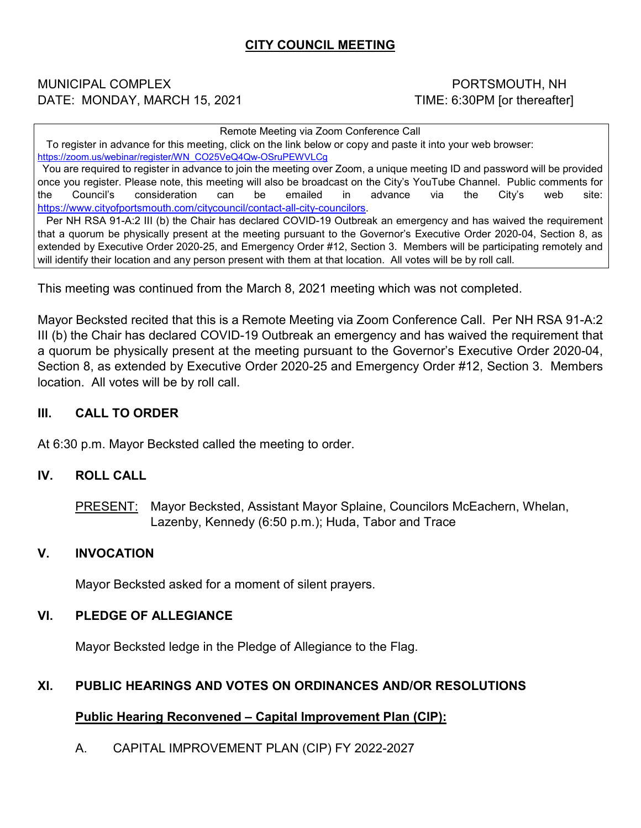# **CITY COUNCIL MEETING**

#### MUNICIPAL COMPLEX **Alternative Computer Computer** PORTSMOUTH, NH DATE: MONDAY, MARCH 15, 2021 TIME: 6:30PM [or thereafter]

Remote Meeting via Zoom Conference Call

 To register in advance for this meeting, click on the link below or copy and paste it into your web browser: [https://zoom.us/webinar/register/WN\\_CO25VeQ4Qw-OSruPEWVLCg](https://zoom.us/webinar/register/WN_CO25VeQ4Qw-OSruPEWVLCg)

 You are required to register in advance to join the meeting over Zoom, a unique meeting ID and password will be provided once you register. Please note, this meeting will also be broadcast on the City's YouTube Channel. Public comments for the Council's consideration can be emailed in advance via the City's web site: [https://www.cityofportsmouth.com/citycouncil/contact-all-city-councilors.](https://www.cityofportsmouth.com/citycouncil/contact-all-city-councilors)

 Per NH RSA 91-A:2 III (b) the Chair has declared COVID-19 Outbreak an emergency and has waived the requirement that a quorum be physically present at the meeting pursuant to the Governor's Executive Order 2020-04, Section 8, as extended by Executive Order 2020-25, and Emergency Order #12, Section 3. Members will be participating remotely and will identify their location and any person present with them at that location. All votes will be by roll call.

This meeting was continued from the March 8, 2021 meeting which was not completed.

Mayor Becksted recited that this is a Remote Meeting via Zoom Conference Call. Per NH RSA 91-A:2 III (b) the Chair has declared COVID-19 Outbreak an emergency and has waived the requirement that a quorum be physically present at the meeting pursuant to the Governor's Executive Order 2020-04, Section 8, as extended by Executive Order 2020-25 and Emergency Order #12, Section 3. Members location. All votes will be by roll call.

#### **III. CALL TO ORDER**

At 6:30 p.m. Mayor Becksted called the meeting to order.

#### **IV. ROLL CALL**

PRESENT: Mayor Becksted, Assistant Mayor Splaine, Councilors McEachern, Whelan, Lazenby, Kennedy (6:50 p.m.); Huda, Tabor and Trace

#### **V. INVOCATION**

Mayor Becksted asked for a moment of silent prayers.

#### **VI. PLEDGE OF ALLEGIANCE**

Mayor Becksted ledge in the Pledge of Allegiance to the Flag.

#### **XI. PUBLIC HEARINGS AND VOTES ON ORDINANCES AND/OR RESOLUTIONS**

#### **Public Hearing Reconvened – Capital Improvement Plan (CIP):**

A. CAPITAL IMPROVEMENT PLAN (CIP) FY 2022-2027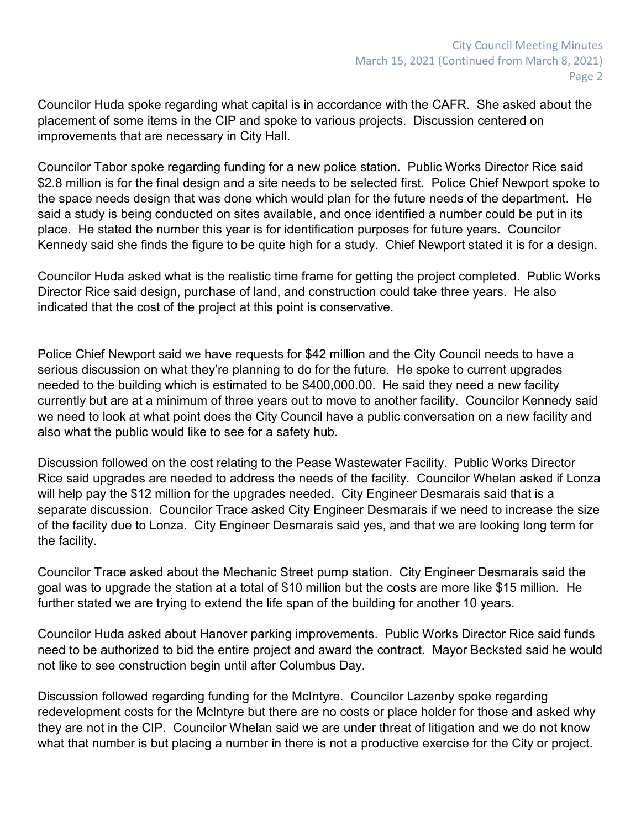Councilor Huda spoke regarding what capital is in accordance with the CAFR. She asked about the placement of some items in the CIP and spoke to various projects. Discussion centered on improvements that are necessary in City Hall.

Councilor Tabor spoke regarding funding for a new police station. Public Works Director Rice said \$2.8 million is for the final design and a site needs to be selected first. Police Chief Newport spoke to the space needs design that was done which would plan for the future needs of the department. He said a study is being conducted on sites available, and once identified a number could be put in its place. He stated the number this year is for identification purposes for future years. Councilor Kennedy said she finds the figure to be quite high for a study. Chief Newport stated it is for a design.

Councilor Huda asked what is the realistic time frame for getting the project completed. Public Works Director Rice said design, purchase of land, and construction could take three years. He also indicated that the cost of the project at this point is conservative.

Police Chief Newport said we have requests for \$42 million and the City Council needs to have a serious discussion on what they're planning to do for the future. He spoke to current upgrades needed to the building which is estimated to be \$400,000.00. He said they need a new facility currently but are at a minimum of three years out to move to another facility. Councilor Kennedy said we need to look at what point does the City Council have a public conversation on a new facility and also what the public would like to see for a safety hub.

Discussion followed on the cost relating to the Pease Wastewater Facility. Public Works Director Rice said upgrades are needed to address the needs of the facility. Councilor Whelan asked if Lonza will help pay the \$12 million for the upgrades needed. City Engineer Desmarais said that is a separate discussion. Councilor Trace asked City Engineer Desmarais if we need to increase the size of the facility due to Lonza. City Engineer Desmarais said yes, and that we are looking long term for the facility.

Councilor Trace asked about the Mechanic Street pump station. City Engineer Desmarais said the goal was to upgrade the station at a total of \$10 million but the costs are more like \$15 million. He further stated we are trying to extend the life span of the building for another 10 years.

Councilor Huda asked about Hanover parking improvements. Public Works Director Rice said funds need to be authorized to bid the entire project and award the contract. Mayor Becksted said he would not like to see construction begin until after Columbus Day.

Discussion followed regarding funding for the McIntyre. Councilor Lazenby spoke regarding redevelopment costs for the McIntyre but there are no costs or place holder for those and asked why they are not in the CIP. Councilor Whelan said we are under threat of litigation and we do not know what that number is but placing a number in there is not a productive exercise for the City or project.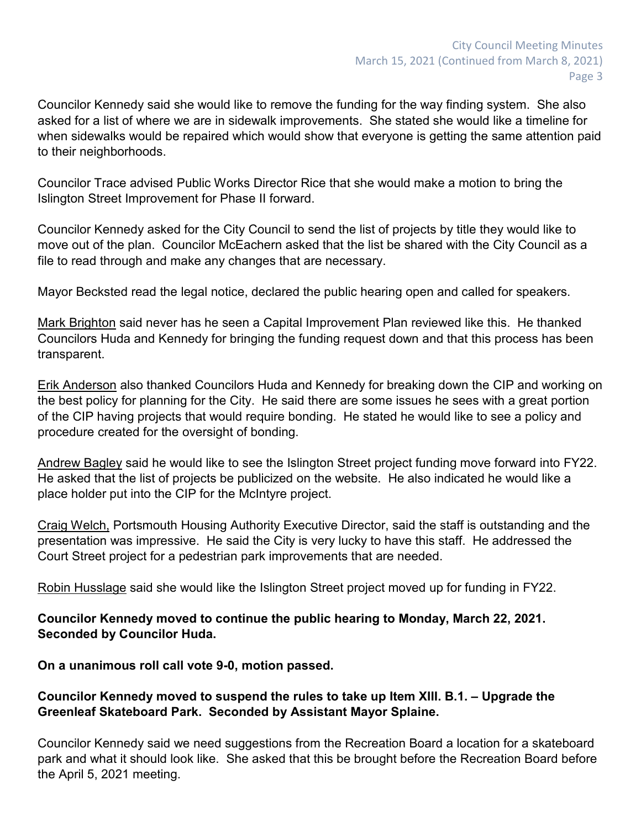Councilor Kennedy said she would like to remove the funding for the way finding system. She also asked for a list of where we are in sidewalk improvements. She stated she would like a timeline for when sidewalks would be repaired which would show that everyone is getting the same attention paid to their neighborhoods.

Councilor Trace advised Public Works Director Rice that she would make a motion to bring the Islington Street Improvement for Phase II forward.

Councilor Kennedy asked for the City Council to send the list of projects by title they would like to move out of the plan. Councilor McEachern asked that the list be shared with the City Council as a file to read through and make any changes that are necessary.

Mayor Becksted read the legal notice, declared the public hearing open and called for speakers.

Mark Brighton said never has he seen a Capital Improvement Plan reviewed like this. He thanked Councilors Huda and Kennedy for bringing the funding request down and that this process has been transparent.

Erik Anderson also thanked Councilors Huda and Kennedy for breaking down the CIP and working on the best policy for planning for the City. He said there are some issues he sees with a great portion of the CIP having projects that would require bonding. He stated he would like to see a policy and procedure created for the oversight of bonding.

Andrew Bagley said he would like to see the Islington Street project funding move forward into FY22. He asked that the list of projects be publicized on the website. He also indicated he would like a place holder put into the CIP for the McIntyre project.

Craig Welch, Portsmouth Housing Authority Executive Director, said the staff is outstanding and the presentation was impressive. He said the City is very lucky to have this staff. He addressed the Court Street project for a pedestrian park improvements that are needed.

Robin Husslage said she would like the Islington Street project moved up for funding in FY22.

## **Councilor Kennedy moved to continue the public hearing to Monday, March 22, 2021. Seconded by Councilor Huda.**

## **On a unanimous roll call vote 9-0, motion passed.**

## **Councilor Kennedy moved to suspend the rules to take up Item XIII. B.1. – Upgrade the Greenleaf Skateboard Park. Seconded by Assistant Mayor Splaine.**

Councilor Kennedy said we need suggestions from the Recreation Board a location for a skateboard park and what it should look like. She asked that this be brought before the Recreation Board before the April 5, 2021 meeting.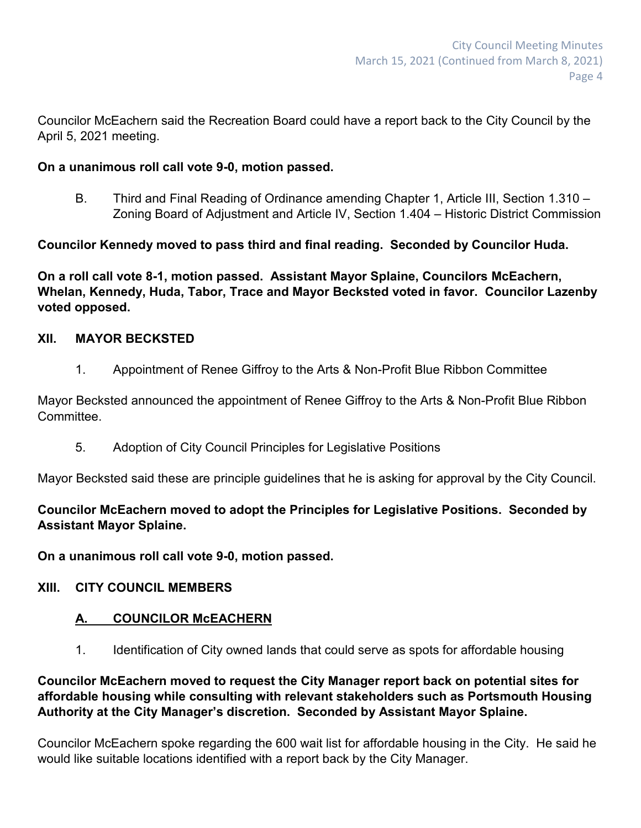Councilor McEachern said the Recreation Board could have a report back to the City Council by the April 5, 2021 meeting.

## **On a unanimous roll call vote 9-0, motion passed.**

B. Third and Final Reading of Ordinance amending Chapter 1, Article III, Section 1.310 – Zoning Board of Adjustment and Article IV, Section 1.404 – Historic District Commission

**Councilor Kennedy moved to pass third and final reading. Seconded by Councilor Huda.**

**On a roll call vote 8-1, motion passed. Assistant Mayor Splaine, Councilors McEachern, Whelan, Kennedy, Huda, Tabor, Trace and Mayor Becksted voted in favor. Councilor Lazenby voted opposed.**

## **XII. MAYOR BECKSTED**

1. Appointment of Renee Giffroy to the Arts & Non-Profit Blue Ribbon Committee

Mayor Becksted announced the appointment of Renee Giffroy to the Arts & Non-Profit Blue Ribbon **Committee** 

5. Adoption of City Council Principles for Legislative Positions

Mayor Becksted said these are principle guidelines that he is asking for approval by the City Council.

# **Councilor McEachern moved to adopt the Principles for Legislative Positions. Seconded by Assistant Mayor Splaine.**

**On a unanimous roll call vote 9-0, motion passed.**

# **XIII. CITY COUNCIL MEMBERS**

# **A. COUNCILOR McEACHERN**

1. Identification of City owned lands that could serve as spots for affordable housing

## **Councilor McEachern moved to request the City Manager report back on potential sites for affordable housing while consulting with relevant stakeholders such as Portsmouth Housing Authority at the City Manager's discretion. Seconded by Assistant Mayor Splaine.**

Councilor McEachern spoke regarding the 600 wait list for affordable housing in the City. He said he would like suitable locations identified with a report back by the City Manager.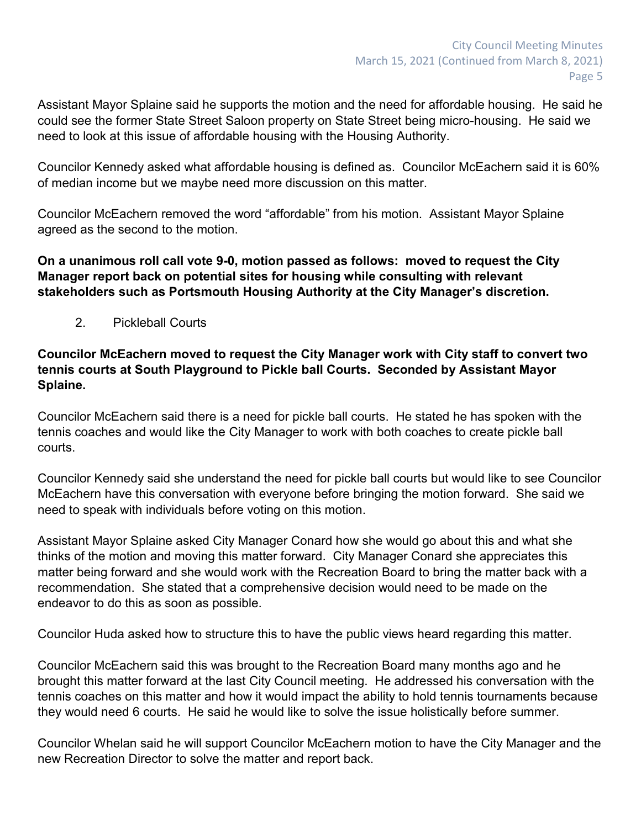Assistant Mayor Splaine said he supports the motion and the need for affordable housing. He said he could see the former State Street Saloon property on State Street being micro-housing. He said we need to look at this issue of affordable housing with the Housing Authority.

Councilor Kennedy asked what affordable housing is defined as. Councilor McEachern said it is 60% of median income but we maybe need more discussion on this matter.

Councilor McEachern removed the word "affordable" from his motion. Assistant Mayor Splaine agreed as the second to the motion.

**On a unanimous roll call vote 9-0, motion passed as follows: moved to request the City Manager report back on potential sites for housing while consulting with relevant stakeholders such as Portsmouth Housing Authority at the City Manager's discretion.**

2. Pickleball Courts

**Councilor McEachern moved to request the City Manager work with City staff to convert two tennis courts at South Playground to Pickle ball Courts. Seconded by Assistant Mayor Splaine.**

Councilor McEachern said there is a need for pickle ball courts. He stated he has spoken with the tennis coaches and would like the City Manager to work with both coaches to create pickle ball courts.

Councilor Kennedy said she understand the need for pickle ball courts but would like to see Councilor McEachern have this conversation with everyone before bringing the motion forward. She said we need to speak with individuals before voting on this motion.

Assistant Mayor Splaine asked City Manager Conard how she would go about this and what she thinks of the motion and moving this matter forward. City Manager Conard she appreciates this matter being forward and she would work with the Recreation Board to bring the matter back with a recommendation. She stated that a comprehensive decision would need to be made on the endeavor to do this as soon as possible.

Councilor Huda asked how to structure this to have the public views heard regarding this matter.

Councilor McEachern said this was brought to the Recreation Board many months ago and he brought this matter forward at the last City Council meeting. He addressed his conversation with the tennis coaches on this matter and how it would impact the ability to hold tennis tournaments because they would need 6 courts. He said he would like to solve the issue holistically before summer.

Councilor Whelan said he will support Councilor McEachern motion to have the City Manager and the new Recreation Director to solve the matter and report back.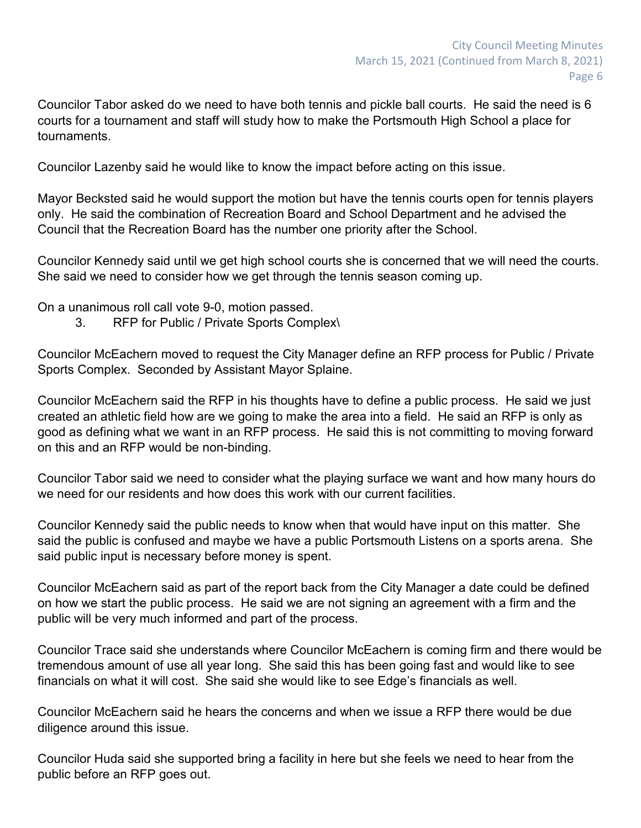Councilor Tabor asked do we need to have both tennis and pickle ball courts. He said the need is 6 courts for a tournament and staff will study how to make the Portsmouth High School a place for tournaments.

Councilor Lazenby said he would like to know the impact before acting on this issue.

Mayor Becksted said he would support the motion but have the tennis courts open for tennis players only. He said the combination of Recreation Board and School Department and he advised the Council that the Recreation Board has the number one priority after the School.

Councilor Kennedy said until we get high school courts she is concerned that we will need the courts. She said we need to consider how we get through the tennis season coming up.

On a unanimous roll call vote 9-0, motion passed.

3. RFP for Public / Private Sports Complex\

Councilor McEachern moved to request the City Manager define an RFP process for Public / Private Sports Complex. Seconded by Assistant Mayor Splaine.

Councilor McEachern said the RFP in his thoughts have to define a public process. He said we just created an athletic field how are we going to make the area into a field. He said an RFP is only as good as defining what we want in an RFP process. He said this is not committing to moving forward on this and an RFP would be non-binding.

Councilor Tabor said we need to consider what the playing surface we want and how many hours do we need for our residents and how does this work with our current facilities.

Councilor Kennedy said the public needs to know when that would have input on this matter. She said the public is confused and maybe we have a public Portsmouth Listens on a sports arena. She said public input is necessary before money is spent.

Councilor McEachern said as part of the report back from the City Manager a date could be defined on how we start the public process. He said we are not signing an agreement with a firm and the public will be very much informed and part of the process.

Councilor Trace said she understands where Councilor McEachern is coming firm and there would be tremendous amount of use all year long. She said this has been going fast and would like to see financials on what it will cost. She said she would like to see Edge's financials as well.

Councilor McEachern said he hears the concerns and when we issue a RFP there would be due diligence around this issue.

Councilor Huda said she supported bring a facility in here but she feels we need to hear from the public before an RFP goes out.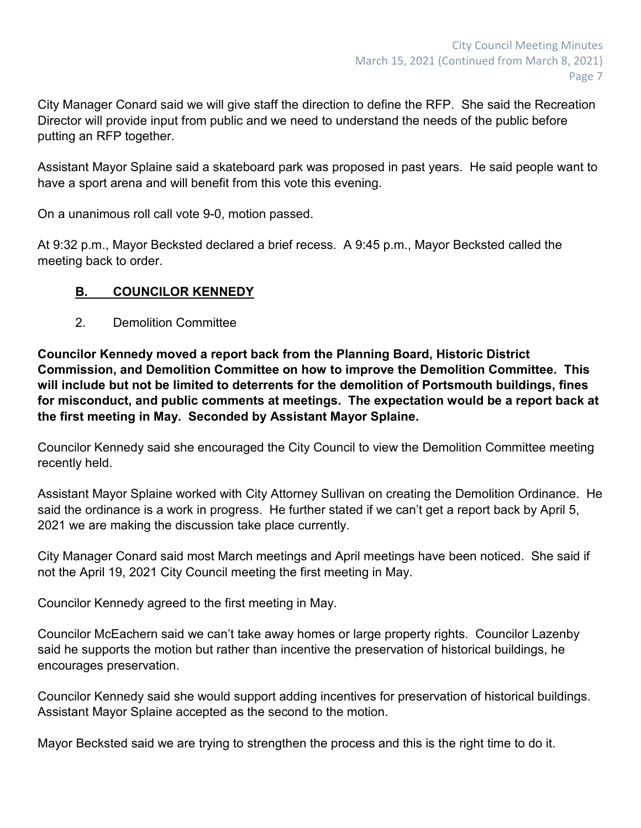City Manager Conard said we will give staff the direction to define the RFP. She said the Recreation Director will provide input from public and we need to understand the needs of the public before putting an RFP together.

Assistant Mayor Splaine said a skateboard park was proposed in past years. He said people want to have a sport arena and will benefit from this vote this evening.

On a unanimous roll call vote 9-0, motion passed.

At 9:32 p.m., Mayor Becksted declared a brief recess. A 9:45 p.m., Mayor Becksted called the meeting back to order.

## **B. COUNCILOR KENNEDY**

2. Demolition Committee

**Councilor Kennedy moved a report back from the Planning Board, Historic District Commission, and Demolition Committee on how to improve the Demolition Committee. This will include but not be limited to deterrents for the demolition of Portsmouth buildings, fines for misconduct, and public comments at meetings. The expectation would be a report back at the first meeting in May. Seconded by Assistant Mayor Splaine.**

Councilor Kennedy said she encouraged the City Council to view the Demolition Committee meeting recently held.

Assistant Mayor Splaine worked with City Attorney Sullivan on creating the Demolition Ordinance. He said the ordinance is a work in progress. He further stated if we can't get a report back by April 5, 2021 we are making the discussion take place currently.

City Manager Conard said most March meetings and April meetings have been noticed. She said if not the April 19, 2021 City Council meeting the first meeting in May.

Councilor Kennedy agreed to the first meeting in May.

Councilor McEachern said we can't take away homes or large property rights. Councilor Lazenby said he supports the motion but rather than incentive the preservation of historical buildings, he encourages preservation.

Councilor Kennedy said she would support adding incentives for preservation of historical buildings. Assistant Mayor Splaine accepted as the second to the motion.

Mayor Becksted said we are trying to strengthen the process and this is the right time to do it.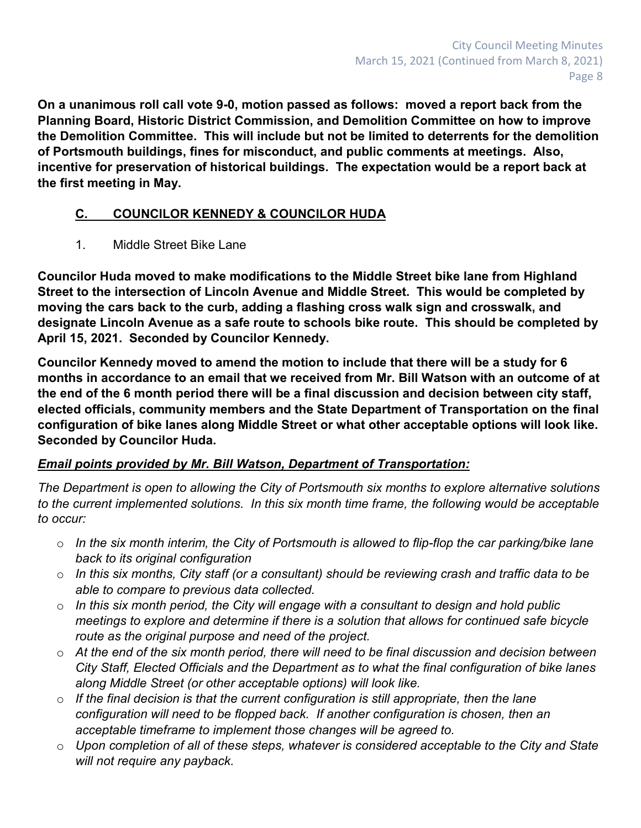**On a unanimous roll call vote 9-0, motion passed as follows: moved a report back from the Planning Board, Historic District Commission, and Demolition Committee on how to improve the Demolition Committee. This will include but not be limited to deterrents for the demolition of Portsmouth buildings, fines for misconduct, and public comments at meetings. Also, incentive for preservation of historical buildings. The expectation would be a report back at the first meeting in May.**

# **C. COUNCILOR KENNEDY & COUNCILOR HUDA**

1. Middle Street Bike Lane

**Councilor Huda moved to make modifications to the Middle Street bike lane from Highland Street to the intersection of Lincoln Avenue and Middle Street. This would be completed by moving the cars back to the curb, adding a flashing cross walk sign and crosswalk, and designate Lincoln Avenue as a safe route to schools bike route. This should be completed by April 15, 2021. Seconded by Councilor Kennedy.**

**Councilor Kennedy moved to amend the motion to include that there will be a study for 6 months in accordance to an email that we received from Mr. Bill Watson with an outcome of at the end of the 6 month period there will be a final discussion and decision between city staff, elected officials, community members and the State Department of Transportation on the final configuration of bike lanes along Middle Street or what other acceptable options will look like. Seconded by Councilor Huda.**

# *Email points provided by Mr. Bill Watson, Department of Transportation:*

*The Department is open to allowing the City of Portsmouth six months to explore alternative solutions to the current implemented solutions. In this six month time frame, the following would be acceptable to occur:*

- o *In the six month interim, the City of Portsmouth is allowed to flip-flop the car parking/bike lane back to its original configuration*
- o *In this six months, City staff (or a consultant) should be reviewing crash and traffic data to be able to compare to previous data collected.*
- o *In this six month period, the City will engage with a consultant to design and hold public meetings to explore and determine if there is a solution that allows for continued safe bicycle route as the original purpose and need of the project.*
- o *At the end of the six month period, there will need to be final discussion and decision between City Staff, Elected Officials and the Department as to what the final configuration of bike lanes along Middle Street (or other acceptable options) will look like.*
- o *If the final decision is that the current configuration is still appropriate, then the lane configuration will need to be flopped back. If another configuration is chosen, then an acceptable timeframe to implement those changes will be agreed to.*
- o *Upon completion of all of these steps, whatever is considered acceptable to the City and State will not require any payback.*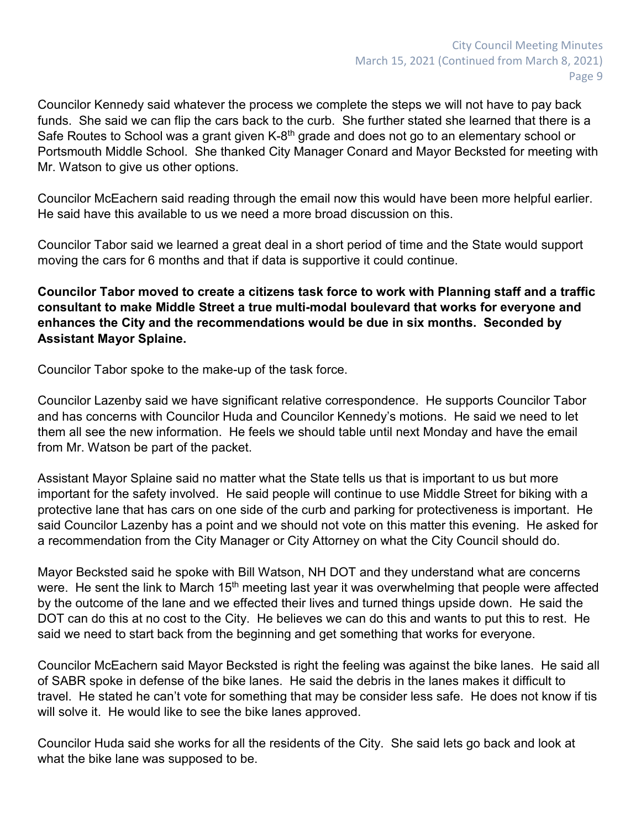Councilor Kennedy said whatever the process we complete the steps we will not have to pay back funds. She said we can flip the cars back to the curb. She further stated she learned that there is a Safe Routes to School was a grant given K-8<sup>th</sup> grade and does not go to an elementary school or Portsmouth Middle School. She thanked City Manager Conard and Mayor Becksted for meeting with Mr. Watson to give us other options.

Councilor McEachern said reading through the email now this would have been more helpful earlier. He said have this available to us we need a more broad discussion on this.

Councilor Tabor said we learned a great deal in a short period of time and the State would support moving the cars for 6 months and that if data is supportive it could continue.

**Councilor Tabor moved to create a citizens task force to work with Planning staff and a traffic consultant to make Middle Street a true multi-modal boulevard that works for everyone and enhances the City and the recommendations would be due in six months. Seconded by Assistant Mayor Splaine.**

Councilor Tabor spoke to the make-up of the task force.

Councilor Lazenby said we have significant relative correspondence. He supports Councilor Tabor and has concerns with Councilor Huda and Councilor Kennedy's motions. He said we need to let them all see the new information. He feels we should table until next Monday and have the email from Mr. Watson be part of the packet.

Assistant Mayor Splaine said no matter what the State tells us that is important to us but more important for the safety involved. He said people will continue to use Middle Street for biking with a protective lane that has cars on one side of the curb and parking for protectiveness is important. He said Councilor Lazenby has a point and we should not vote on this matter this evening. He asked for a recommendation from the City Manager or City Attorney on what the City Council should do.

Mayor Becksted said he spoke with Bill Watson, NH DOT and they understand what are concerns were. He sent the link to March 15<sup>th</sup> meeting last year it was overwhelming that people were affected by the outcome of the lane and we effected their lives and turned things upside down. He said the DOT can do this at no cost to the City. He believes we can do this and wants to put this to rest. He said we need to start back from the beginning and get something that works for everyone.

Councilor McEachern said Mayor Becksted is right the feeling was against the bike lanes. He said all of SABR spoke in defense of the bike lanes. He said the debris in the lanes makes it difficult to travel. He stated he can't vote for something that may be consider less safe. He does not know if tis will solve it. He would like to see the bike lanes approved.

Councilor Huda said she works for all the residents of the City. She said lets go back and look at what the bike lane was supposed to be.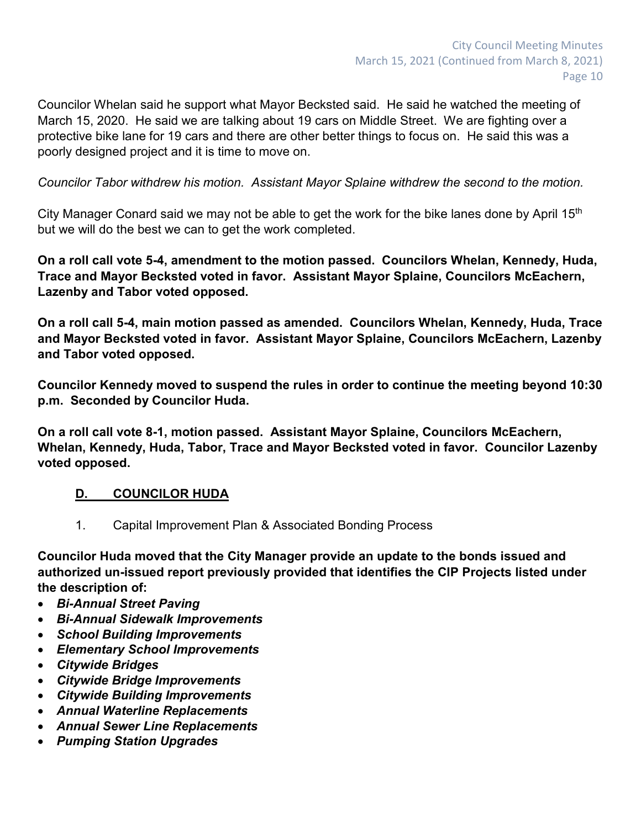Councilor Whelan said he support what Mayor Becksted said. He said he watched the meeting of March 15, 2020. He said we are talking about 19 cars on Middle Street. We are fighting over a protective bike lane for 19 cars and there are other better things to focus on. He said this was a poorly designed project and it is time to move on.

*Councilor Tabor withdrew his motion. Assistant Mayor Splaine withdrew the second to the motion.*

City Manager Conard said we may not be able to get the work for the bike lanes done by April 15<sup>th</sup> but we will do the best we can to get the work completed.

**On a roll call vote 5-4, amendment to the motion passed. Councilors Whelan, Kennedy, Huda, Trace and Mayor Becksted voted in favor. Assistant Mayor Splaine, Councilors McEachern, Lazenby and Tabor voted opposed.**

**On a roll call 5-4, main motion passed as amended. Councilors Whelan, Kennedy, Huda, Trace and Mayor Becksted voted in favor. Assistant Mayor Splaine, Councilors McEachern, Lazenby and Tabor voted opposed.**

**Councilor Kennedy moved to suspend the rules in order to continue the meeting beyond 10:30 p.m. Seconded by Councilor Huda.** 

**On a roll call vote 8-1, motion passed. Assistant Mayor Splaine, Councilors McEachern, Whelan, Kennedy, Huda, Tabor, Trace and Mayor Becksted voted in favor. Councilor Lazenby voted opposed.**

# **D. COUNCILOR HUDA**

1. Capital Improvement Plan & Associated Bonding Process

**Councilor Huda moved that the City Manager provide an update to the bonds issued and authorized un-issued report previously provided that identifies the CIP Projects listed under the description of:**

- *Bi-Annual Street Paving*
- *Bi-Annual Sidewalk Improvements*
- *School Building Improvements*
- *Elementary School Improvements*
- *Citywide Bridges*
- *Citywide Bridge Improvements*
- *Citywide Building Improvements*
- *Annual Waterline Replacements*
- *Annual Sewer Line Replacements*
- *Pumping Station Upgrades*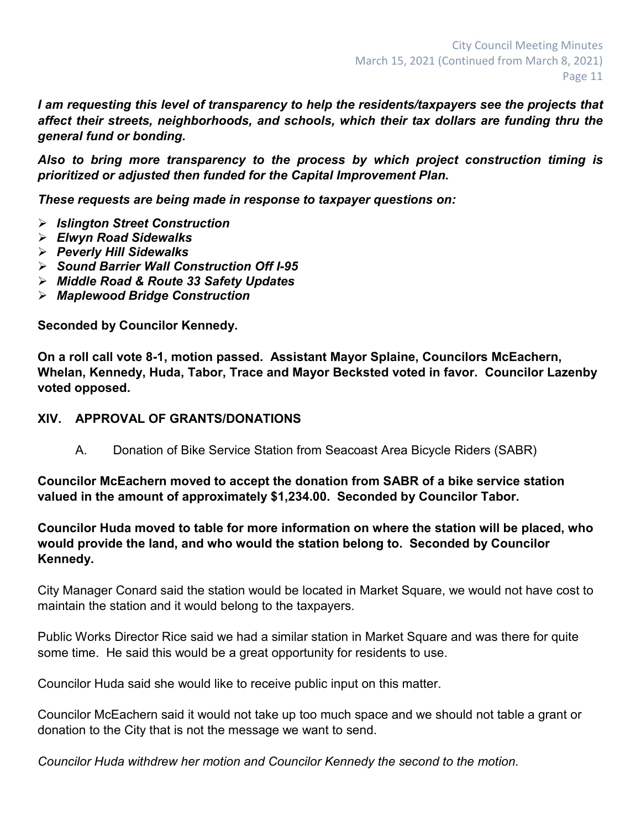*I am requesting this level of transparency to help the residents/taxpayers see the projects that affect their streets, neighborhoods, and schools, which their tax dollars are funding thru the general fund or bonding.*

*Also to bring more transparency to the process by which project construction timing is prioritized or adjusted then funded for the Capital Improvement Plan.*

*These requests are being made in response to taxpayer questions on:*

- *Islington Street Construction*
- *Elwyn Road Sidewalks*
- *Peverly Hill Sidewalks*
- *Sound Barrier Wall Construction Off I-95*
- *Middle Road & Route 33 Safety Updates*
- *Maplewood Bridge Construction*

**Seconded by Councilor Kennedy.**

**On a roll call vote 8-1, motion passed. Assistant Mayor Splaine, Councilors McEachern, Whelan, Kennedy, Huda, Tabor, Trace and Mayor Becksted voted in favor. Councilor Lazenby voted opposed.**

#### **XIV. APPROVAL OF GRANTS/DONATIONS**

A. Donation of Bike Service Station from Seacoast Area Bicycle Riders (SABR)

**Councilor McEachern moved to accept the donation from SABR of a bike service station valued in the amount of approximately \$1,234.00. Seconded by Councilor Tabor.**

**Councilor Huda moved to table for more information on where the station will be placed, who would provide the land, and who would the station belong to. Seconded by Councilor Kennedy.**

City Manager Conard said the station would be located in Market Square, we would not have cost to maintain the station and it would belong to the taxpayers.

Public Works Director Rice said we had a similar station in Market Square and was there for quite some time. He said this would be a great opportunity for residents to use.

Councilor Huda said she would like to receive public input on this matter.

Councilor McEachern said it would not take up too much space and we should not table a grant or donation to the City that is not the message we want to send.

*Councilor Huda withdrew her motion and Councilor Kennedy the second to the motion.*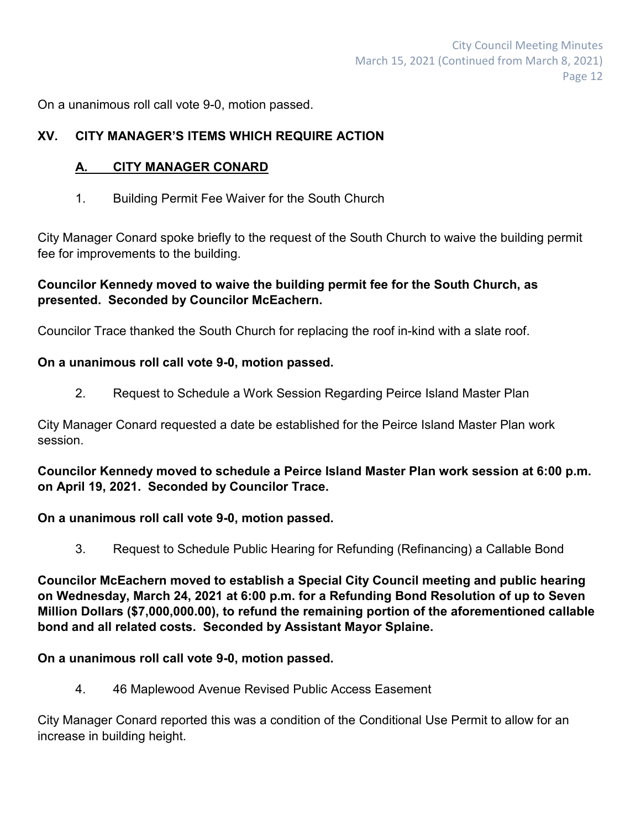On a unanimous roll call vote 9-0, motion passed.

## **XV. CITY MANAGER'S ITEMS WHICH REQUIRE ACTION**

## **A. CITY MANAGER CONARD**

1. Building Permit Fee Waiver for the South Church

City Manager Conard spoke briefly to the request of the South Church to waive the building permit fee for improvements to the building.

## **Councilor Kennedy moved to waive the building permit fee for the South Church, as presented. Seconded by Councilor McEachern.**

Councilor Trace thanked the South Church for replacing the roof in-kind with a slate roof.

## **On a unanimous roll call vote 9-0, motion passed.**

2. Request to Schedule a Work Session Regarding Peirce Island Master Plan

City Manager Conard requested a date be established for the Peirce Island Master Plan work session.

**Councilor Kennedy moved to schedule a Peirce Island Master Plan work session at 6:00 p.m. on April 19, 2021. Seconded by Councilor Trace.**

## **On a unanimous roll call vote 9-0, motion passed.**

3. Request to Schedule Public Hearing for Refunding (Refinancing) a Callable Bond

**Councilor McEachern moved to establish a Special City Council meeting and public hearing on Wednesday, March 24, 2021 at 6:00 p.m. for a Refunding Bond Resolution of up to Seven Million Dollars (\$7,000,000.00), to refund the remaining portion of the aforementioned callable bond and all related costs. Seconded by Assistant Mayor Splaine.**

## **On a unanimous roll call vote 9-0, motion passed.**

4. 46 Maplewood Avenue Revised Public Access Easement

City Manager Conard reported this was a condition of the Conditional Use Permit to allow for an increase in building height.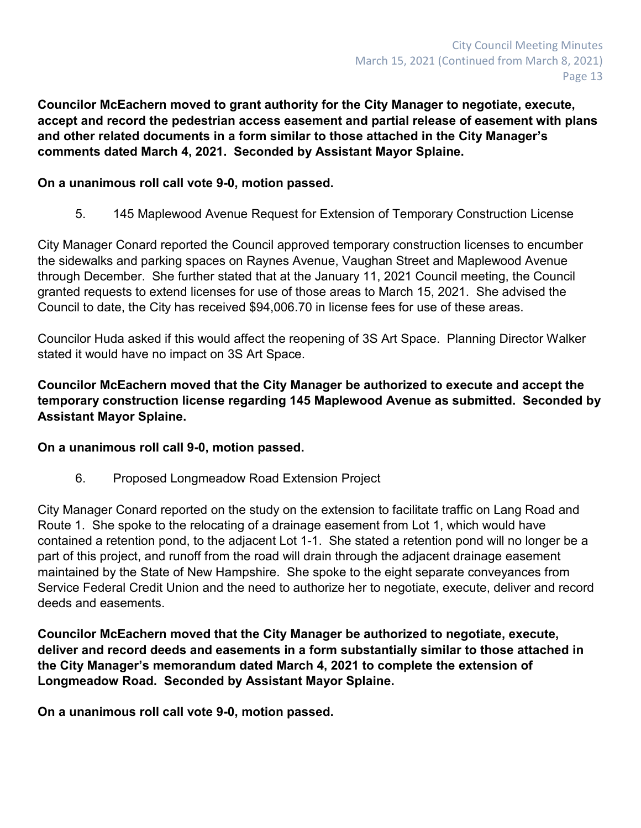**Councilor McEachern moved to grant authority for the City Manager to negotiate, execute, accept and record the pedestrian access easement and partial release of easement with plans and other related documents in a form similar to those attached in the City Manager's comments dated March 4, 2021. Seconded by Assistant Mayor Splaine.**

#### **On a unanimous roll call vote 9-0, motion passed.**

5. 145 Maplewood Avenue Request for Extension of Temporary Construction License

City Manager Conard reported the Council approved temporary construction licenses to encumber the sidewalks and parking spaces on Raynes Avenue, Vaughan Street and Maplewood Avenue through December. She further stated that at the January 11, 2021 Council meeting, the Council granted requests to extend licenses for use of those areas to March 15, 2021. She advised the Council to date, the City has received \$94,006.70 in license fees for use of these areas.

Councilor Huda asked if this would affect the reopening of 3S Art Space. Planning Director Walker stated it would have no impact on 3S Art Space.

## **Councilor McEachern moved that the City Manager be authorized to execute and accept the temporary construction license regarding 145 Maplewood Avenue as submitted. Seconded by Assistant Mayor Splaine.**

#### **On a unanimous roll call 9-0, motion passed.**

6. Proposed Longmeadow Road Extension Project

City Manager Conard reported on the study on the extension to facilitate traffic on Lang Road and Route 1. She spoke to the relocating of a drainage easement from Lot 1, which would have contained a retention pond, to the adjacent Lot 1-1. She stated a retention pond will no longer be a part of this project, and runoff from the road will drain through the adjacent drainage easement maintained by the State of New Hampshire. She spoke to the eight separate conveyances from Service Federal Credit Union and the need to authorize her to negotiate, execute, deliver and record deeds and easements.

**Councilor McEachern moved that the City Manager be authorized to negotiate, execute, deliver and record deeds and easements in a form substantially similar to those attached in the City Manager's memorandum dated March 4, 2021 to complete the extension of Longmeadow Road. Seconded by Assistant Mayor Splaine.**

**On a unanimous roll call vote 9-0, motion passed.**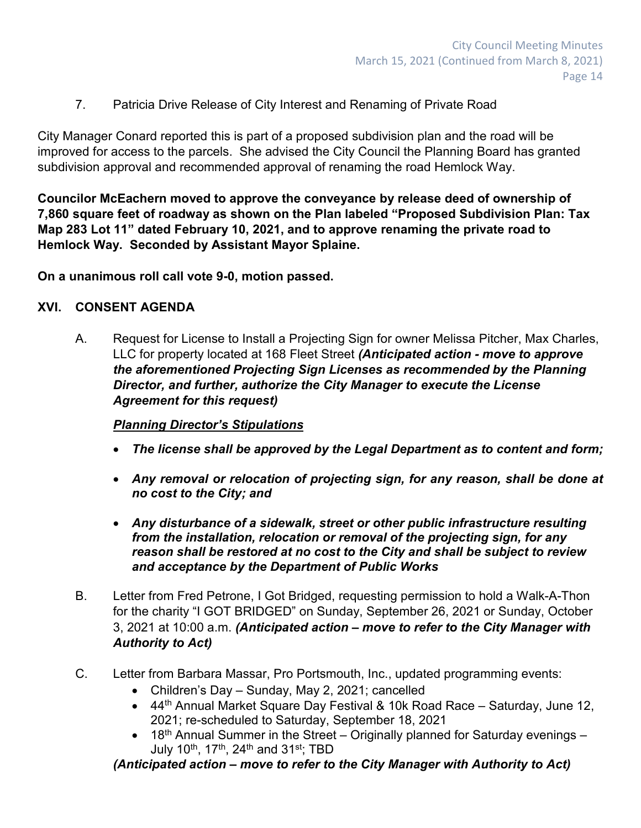7. Patricia Drive Release of City Interest and Renaming of Private Road

City Manager Conard reported this is part of a proposed subdivision plan and the road will be improved for access to the parcels. She advised the City Council the Planning Board has granted subdivision approval and recommended approval of renaming the road Hemlock Way.

**Councilor McEachern moved to approve the conveyance by release deed of ownership of 7,860 square feet of roadway as shown on the Plan labeled "Proposed Subdivision Plan: Tax Map 283 Lot 11" dated February 10, 2021, and to approve renaming the private road to Hemlock Way. Seconded by Assistant Mayor Splaine.**

**On a unanimous roll call vote 9-0, motion passed.**

## **XVI. CONSENT AGENDA**

A. Request for License to Install a Projecting Sign for owner Melissa Pitcher, Max Charles, LLC for property located at 168 Fleet Street *(Anticipated action - move to approve the aforementioned Projecting Sign Licenses as recommended by the Planning Director, and further, authorize the City Manager to execute the License Agreement for this request)*

# *Planning Director's Stipulations*

- *The license shall be approved by the Legal Department as to content and form;*
- *Any removal or relocation of projecting sign, for any reason, shall be done at no cost to the City; and*
- *Any disturbance of a sidewalk, street or other public infrastructure resulting from the installation, relocation or removal of the projecting sign, for any reason shall be restored at no cost to the City and shall be subject to review and acceptance by the Department of Public Works*
- B. Letter from Fred Petrone, I Got Bridged, requesting permission to hold a Walk-A-Thon for the charity "I GOT BRIDGED" on Sunday, September 26, 2021 or Sunday, October 3, 2021 at 10:00 a.m. *(Anticipated action – move to refer to the City Manager with Authority to Act)*
- C. Letter from Barbara Massar, Pro Portsmouth, Inc., updated programming events:
	- Children's Day Sunday, May 2, 2021; cancelled
	- 44<sup>th</sup> Annual Market Square Day Festival & 10k Road Race Saturday, June 12, 2021; re-scheduled to Saturday, September 18, 2021
	- 18<sup>th</sup> Annual Summer in the Street Originally planned for Saturday evenings July 10th, 17th, 24th and 31st; TBD

*(Anticipated action – move to refer to the City Manager with Authority to Act)*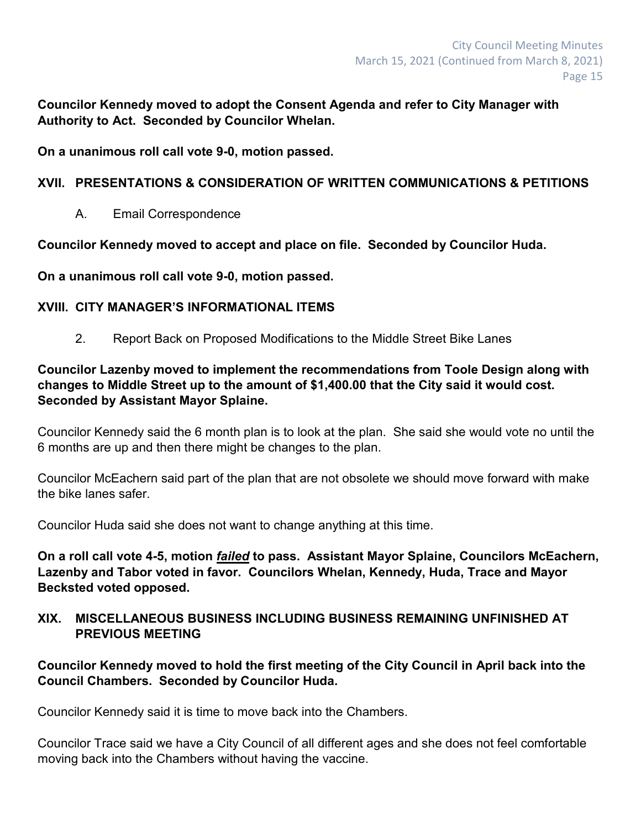**Councilor Kennedy moved to adopt the Consent Agenda and refer to City Manager with Authority to Act. Seconded by Councilor Whelan.**

**On a unanimous roll call vote 9-0, motion passed.**

## **XVII. PRESENTATIONS & CONSIDERATION OF WRITTEN COMMUNICATIONS & PETITIONS**

A. Email Correspondence

**Councilor Kennedy moved to accept and place on file. Seconded by Councilor Huda.**

**On a unanimous roll call vote 9-0, motion passed.**

## **XVIII. CITY MANAGER'S INFORMATIONAL ITEMS**

2. Report Back on Proposed Modifications to the Middle Street Bike Lanes

**Councilor Lazenby moved to implement the recommendations from Toole Design along with changes to Middle Street up to the amount of \$1,400.00 that the City said it would cost. Seconded by Assistant Mayor Splaine.**

Councilor Kennedy said the 6 month plan is to look at the plan. She said she would vote no until the 6 months are up and then there might be changes to the plan.

Councilor McEachern said part of the plan that are not obsolete we should move forward with make the bike lanes safer.

Councilor Huda said she does not want to change anything at this time.

**On a roll call vote 4-5, motion** *failed* **to pass. Assistant Mayor Splaine, Councilors McEachern, Lazenby and Tabor voted in favor. Councilors Whelan, Kennedy, Huda, Trace and Mayor Becksted voted opposed.**

#### **XIX. MISCELLANEOUS BUSINESS INCLUDING BUSINESS REMAINING UNFINISHED AT PREVIOUS MEETING**

**Councilor Kennedy moved to hold the first meeting of the City Council in April back into the Council Chambers. Seconded by Councilor Huda.**

Councilor Kennedy said it is time to move back into the Chambers.

Councilor Trace said we have a City Council of all different ages and she does not feel comfortable moving back into the Chambers without having the vaccine.